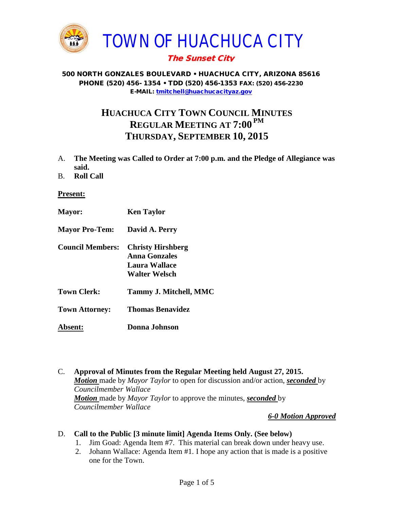

## The Sunset City

#### 500 NORTH GONZALES BOULEVARD • HUACHUCA CITY, ARIZONA 85616 PHONE (520) 456- 1354 • TDD (520) 456-1353 FAX: (520) 456-2230 E-MAIL: [tmitchell@huachucacityaz.gov](mailto:tmitchell@huachucacityaz.gov)

# **HUACHUCA CITY TOWN COUNCIL MINUTES REGULAR MEETING AT 7:00 PM THURSDAY, SEPTEMBER 10, 2015**

- A. **The Meeting was Called to Order at 7:00 p.m. and the Pledge of Allegiance was said.**
- B. **Roll Call**

#### **Present:**

- **Mayor: Ken Taylor Mayor Pro-Tem: David A. Perry Council Members: Christy Hirshberg Anna Gonzales Laura Wallace Walter Welsch Town Clerk: Tammy J. Mitchell, MMC Town Attorney: Thomas Benavidez Absent: Donna Johnson**
- C. **Approval of Minutes from the Regular Meeting held August 27, 2015.** *Motion* made by *Mayor Taylor* to open for discussion and/or action, *seconded* by *Councilmember Wallace Motion* made by *Mayor Taylor* to approve the minutes, *seconded* by *Councilmember Wallace*

#### *6-0 Motion Approved*

## D. **Call to the Public [3 minute limit] Agenda Items Only. (See below)**

- 1. Jim Goad: Agenda Item #7. This material can break down under heavy use.
- 2. Johann Wallace: Agenda Item #1. I hope any action that is made is a positive one for the Town.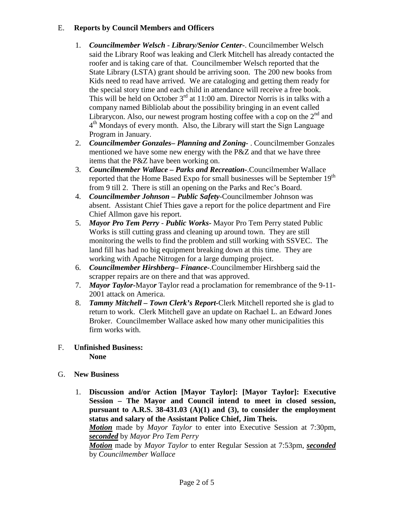## E. **Reports by Council Members and Officers**

- 1. *Councilmember Welsch - Library/Senior Center***-**. Councilmember Welsch said the Library Roof was leaking and Clerk Mitchell has already contacted the roofer and is taking care of that. Councilmember Welsch reported that the State Library (LSTA) grant should be arriving soon. The 200 new books from Kids need to read have arrived. We are cataloging and getting them ready for the special story time and each child in attendance will receive a free book. This will be held on October  $3<sup>rd</sup>$  at 11:00 am. Director Norris is in talks with a company named Bibliolab about the possibility bringing in an event called Librarycon. Also, our newest program hosting coffee with a cop on the  $2<sup>nd</sup>$  and  $4<sup>th</sup>$  Mondays of every month. Also, the Library will start the Sign Language Program in January.
- 2. *Councilmember Gonzales***–** *Planning and Zoning-* . Councilmember Gonzales mentioned we have some new energy with the P&Z and that we have three items that the P&Z have been working on.
- 3. *Councilmember Wallace* **–** *Parks and Recreation***-**.Councilmember Wallace reported that the Home Based Expo for small businesses will be September 19<sup>th</sup> from 9 till 2. There is still an opening on the Parks and Rec's Board.
- 4. *Councilmember Johnson – Public Safety-*Councilmember Johnson was absent. Assistant Chief Thies gave a report for the police department and Fire Chief Allmon gave his report.
- 5. *Mayor Pro Tem Perry Public Works-* Mayor Pro Tem Perry stated Public Works is still cutting grass and cleaning up around town. They are still monitoring the wells to find the problem and still working with SSVEC. The land fill has had no big equipment breaking down at this time. They are working with Apache Nitrogen for a large dumping project.
- 6. *Councilmember Hirshberg***–** *Finance-*.Councilmember Hirshberg said the scrapper repairs are on there and that was approved.
- 7. *Mayor Taylor-*Mayo*r* Taylor read a proclamation for remembrance of the 9-11- 2001 attack on America.
- 8. *Tammy Mitchell – Town Clerk's Report-*Clerk Mitchell reported she is glad to return to work. Clerk Mitchell gave an update on Rachael L. an Edward Jones Broker. Councilmember Wallace asked how many other municipalities this firm works with.

#### F. **Unfinished Business: None**

- G. **New Business**
	- 1. **Discussion and/or Action [Mayor Taylor]: [Mayor Taylor]: Executive Session – The Mayor and Council intend to meet in closed session, pursuant to A.R.S. 38-431.03 (A)(1) and (3), to consider the employment status and salary of the Assistant Police Chief, Jim Theis.**

*Motion* made by *Mayor Taylor* to enter into Executive Session at 7:30pm, *seconded* by *Mayor Pro Tem Perry*

*Motion* made by *Mayor Taylor* to enter Regular Session at 7:53pm, *seconded* by *Councilmember Wallace*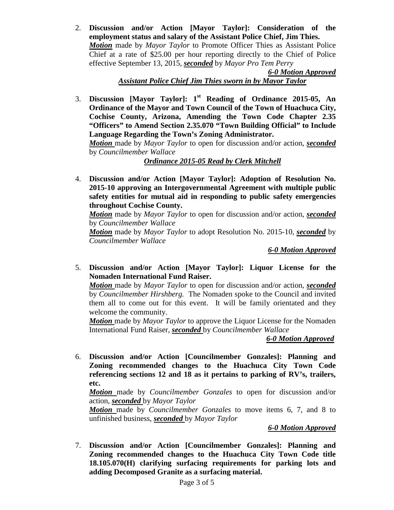2. **Discussion and/or Action [Mayor Taylor]: Consideration of the employment status and salary of the Assistant Police Chief, Jim Thies.** *Motion* made by *Mayor Taylor* to Promote Officer Thies as Assistant Police Chief at a rate of \$25.00 per hour reporting directly to the Chief of Police effective September 13, 2015, *seconded* by *Mayor Pro Tem Perry*

*6-0 Motion Approved Assistant Police Chief Jim Thies sworn in by Mayor Taylor*

3. **Discussion [Mayor Taylor]: 1st Reading of Ordinance 2015-05, An Ordinance of the Mayor and Town Council of the Town of Huachuca City, Cochise County, Arizona, Amending the Town Code Chapter 2.35 "Officers" to Amend Section 2.35.070 "Town Building Official" to Include Language Regarding the Town's Zoning Administrator.** 

*Motion* made by *Mayor Taylor* to open for discussion and/or action, *seconded*  by *Councilmember Wallace*

## *Ordinance 2015-05 Read by Clerk Mitchell*

4. **Discussion and/or Action [Mayor Taylor]: Adoption of Resolution No. 2015-10 approving an Intergovernmental Agreement with multiple public safety entities for mutual aid in responding to public safety emergencies throughout Cochise County.** 

*Motion* made by *Mayor Taylor* to open for discussion and/or action, *seconded* by *Councilmember Wallace*

*Motion* made by *Mayor Taylor* to adopt Resolution No. 2015-10, *seconded* by *Councilmember Wallace*

*6-0 Motion Approved*

5. **Discussion and/or Action [Mayor Taylor]: Liquor License for the Nomaden International Fund Raiser.** 

*Motion* made by *Mayor Taylor* to open for discussion and/or action, *seconded*  by *Councilmember Hirshberg.* The Nomaden spoke to the Council and invited them all to come out for this event. It will be family orientated and they welcome the community.

*Motion* made by *Mayor Taylor* to approve the Liquor License for the Nomaden International Fund Raiser, *seconded* by *Councilmember Wallace*

## *6-0 Motion Approved*

6. **Discussion and/or Action [Councilmember Gonzales]: Planning and Zoning recommended changes to the Huachuca City Town Code referencing sections 12 and 18 as it pertains to parking of RV's, trailers, etc.**

*Motion* made by *Councilmember Gonzales* to open for discussion and/or action, *seconded* by *Mayor Taylor*

*Motion* made by *Councilmember Gonzales* to move items 6, 7, and 8 to unfinished business, *seconded* by *Mayor Taylor*

*6-0 Motion Approved*

7. **Discussion and/or Action [Councilmember Gonzales]: Planning and Zoning recommended changes to the Huachuca City Town Code title 18.105.070(H) clarifying surfacing requirements for parking lots and adding Decomposed Granite as a surfacing material.**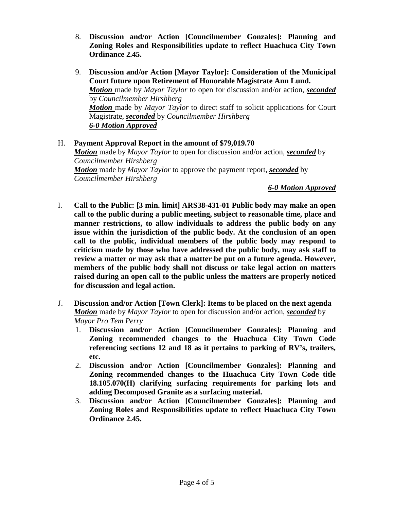- 8. **Discussion and/or Action [Councilmember Gonzales]: Planning and Zoning Roles and Responsibilities update to reflect Huachuca City Town Ordinance 2.45.**
- 9. **Discussion and/or Action [Mayor Taylor]: Consideration of the Municipal Court future upon Retirement of Honorable Magistrate Ann Lund.** *Motion* made by *Mayor Taylor* to open for discussion and/or action, *seconded*  by *Councilmember Hirshberg Motion* made by *Mayor Taylor* to direct staff to solicit applications for Court Magistrate, *seconded* by *Councilmember Hirshberg 6-0 Motion Approved*

## H. **Payment Approval Report in the amount of \$79,019.70** *Motion* made by *Mayor Taylor* to open for discussion and/or action, *seconded* by *Councilmember Hirshberg Motion* made by *Mayor Taylor* to approve the payment report, *seconded* by *Councilmember Hirshberg*

#### *6-0 Motion Approved*

- I. **Call to the Public: [3 min. limit] ARS38-431-01 Public body may make an open call to the public during a public meeting, subject to reasonable time, place and manner restrictions, to allow individuals to address the public body on any issue within the jurisdiction of the public body. At the conclusion of an open call to the public, individual members of the public body may respond to criticism made by those who have addressed the public body, may ask staff to review a matter or may ask that a matter be put on a future agenda. However, members of the public body shall not discuss or take legal action on matters raised during an open call to the public unless the matters are properly noticed for discussion and legal action.**
- J. **Discussion and/or Action [Town Clerk]: Items to be placed on the next agenda** *Motion* made by *Mayor Taylor* to open for discussion and/or action, *seconded* by *Mayor Pro Tem Perry*
	- 1. **Discussion and/or Action [Councilmember Gonzales]: Planning and Zoning recommended changes to the Huachuca City Town Code referencing sections 12 and 18 as it pertains to parking of RV's, trailers, etc.**
	- 2. **Discussion and/or Action [Councilmember Gonzales]: Planning and Zoning recommended changes to the Huachuca City Town Code title 18.105.070(H) clarifying surfacing requirements for parking lots and adding Decomposed Granite as a surfacing material.**
	- 3. **Discussion and/or Action [Councilmember Gonzales]: Planning and Zoning Roles and Responsibilities update to reflect Huachuca City Town Ordinance 2.45.**